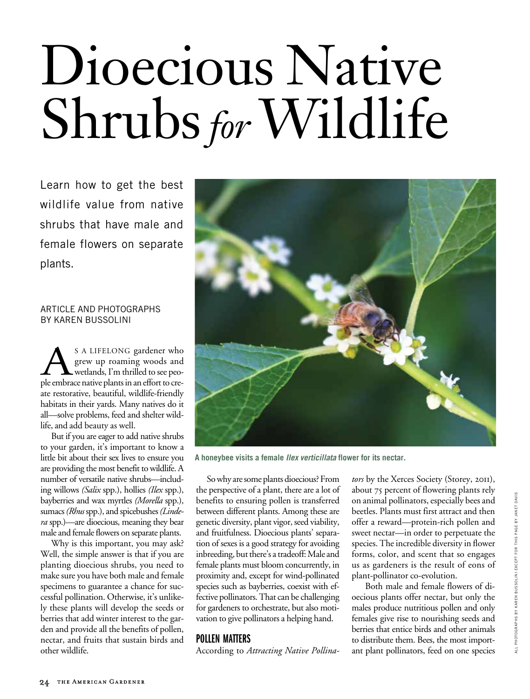# Dioecious Native Shrubs *for* Wildlife

Learn how to get the best wildlife value from native shrubs that have male and female flowers on separate plants.

### article and photographs by karen Bussolini

S A LIFELONG gardener who grew up roaming woods and wetlands, I'm thrilled to see people embrace native plants in an effort to cregrew up roaming woods and wetlands, I'm thrilled to see peoate restorative, beautiful, wildlife-friendly habitats in their yards. Many natives do it all—solve problems, feed and shelter wildlife, and add beauty as well.

But if you are eager to add native shrubs to your garden, it's important to know a little bit about their sex lives to ensure you are providing the most benefit to wildlife. A number of versatile native shrubs—including willows *(Salix* spp.), hollies *(Ilex* spp.), bayberries and wax myrtles *(Morella* spp.), sumacs *(Rhus* spp.), and spicebushes *(Lindera* spp.)—are dioecious, meaning they bear male and female flowers on separate plants.

Why is this important, you may ask? Well, the simple answer is that if you are planting dioecious shrubs, you need to make sure you have both male and female specimens to guarantee a chance for successful pollination. Otherwise, it's unlikely these plants will develop the seeds or berries that add winter interest to the garden and provide all the benefits of pollen, nectar, and fruits that sustain birds and other wildlife.



**A honeybee visits a female** *Ilex verticillata* **flower for its nectar.**

So why are some plants dioecious? From the perspective of a plant, there are a lot of benefits to ensuring pollen is transferred between different plants. Among these are genetic diversity, plant vigor, seed viability, and fruitfulness. Dioecious plants' separation of sexes is a good strategy for avoiding inbreeding, but there's a tradeoff: Male and female plants must bloom concurrently, in proximity and, except for wind-pollinated species such as bayberries, coexist with effective pollinators. That can be challenging for gardeners to orchestrate, but also motivation to give pollinators a helping hand.

## POLLEN MATTERS

According to *Attracting Native Pollina-*

*tors* by the Xerces Society (Storey, 2011), about 75 percent of flowering plants rely on animal pollinators, especially bees and beetles. Plants must first attract and then offer a reward—protein-rich pollen and sweet nectar—in order to perpetuate the species. The incredible diversity in flower forms, color, and scent that so engages us as gardeners is the result of eons of plant-pollinator co-evolution.

Both male and female flowers of dioecious plants offer nectar, but only the males produce nutritious pollen and only females give rise to nourishing seeds and berries that entice birds and other animals to distribute them. Bees, the most important plant pollinators, feed on one species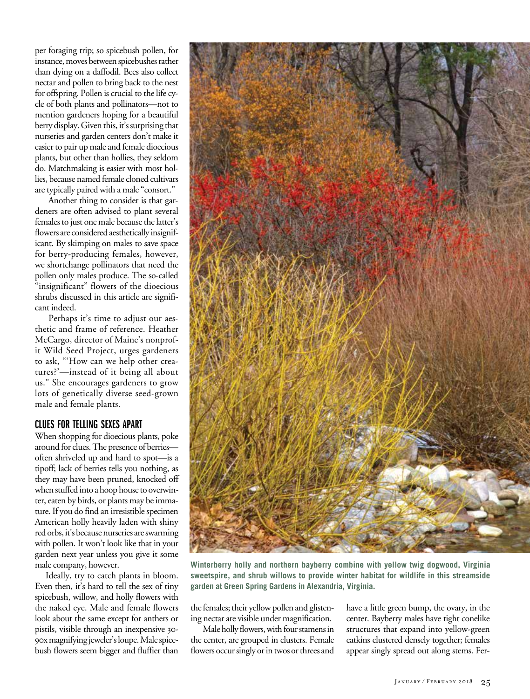per foraging trip; so spicebush pollen, for instance, moves between spicebushes rather than dying on a daffodil. Bees also collect nectar and pollen to bring back to the nest for offspring. Pollen is crucial to the life cycle of both plants and pollinators—not to mention gardeners hoping for a beautiful berry display. Given this, it's surprising that nurseries and garden centers don't make it easier to pair up male and female dioecious plants, but other than hollies, they seldom do. Matchmaking is easier with most hollies, because named female cloned cultivars are typically paired with a male "consort."

Another thing to consider is that gardeners are often advised to plant several females to just one male because the latter's flowers are considered aesthetically insignificant. By skimping on males to save space for berry-producing females, however, we shortchange pollinators that need the pollen only males produce. The so-called "insignificant" flowers of the dioecious shrubs discussed in this article are significant indeed.

Perhaps it's time to adjust our aesthetic and frame of reference. Heather McCargo, director of Maine's nonprofit Wild Seed Project, urges gardeners to ask, "'How can we help other creatures?'—instead of it being all about us." She encourages gardeners to grow lots of genetically diverse seed-grown male and female plants.

## CLUES for telling sexes apart

When shopping for dioecious plants, poke around for clues. The presence of berries often shriveled up and hard to spot—is a tipoff; lack of berries tells you nothing, as they may have been pruned, knocked off when stuffed into a hoop house to overwinter, eaten by birds, or plants may be immature. If you do find an irresistible specimen American holly heavily laden with shiny red orbs, it's because nurseries are swarming with pollen. It won't look like that in your garden next year unless you give it some male company, however.

Ideally, try to catch plants in bloom. Even then, it's hard to tell the sex of tiny spicebush, willow, and holly flowers with the naked eye. Male and female flowers look about the same except for anthers or pistils, visible through an inexpensive 30- 90x magnifying jeweler's loupe. Male spicebush flowers seem bigger and fluffier than



**Winterberry holly and northern bayberry combine with yellow twig dogwood, Virginia sweetspire, and shrub willows to provide winter habitat for wildlife in this streamside garden at Green Spring Gardens in Alexandria, Virginia.**

the females; their yellow pollen and glistening nectar are visible under magnification.

Male holly flowers, with four stamens in the center, are grouped in clusters. Female flowers occur singly or in twos or threes and have a little green bump, the ovary, in the center. Bayberry males have tight conelike structures that expand into yellow-green catkins clustered densely together; females appear singly spread out along stems. Fer-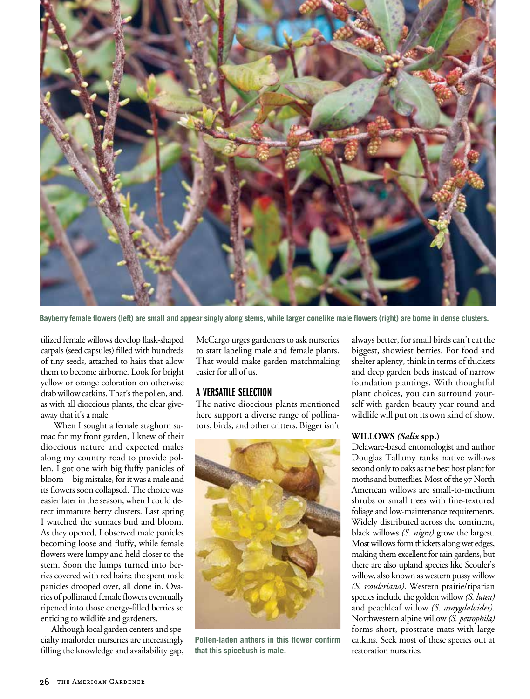

**Bayberry female flowers (left) are small and appear singly along stems, while larger conelike male flowers (right) are borne in dense clusters.**

tilized female willows develop flask-shaped carpals (seed capsules) filled with hundreds of tiny seeds, attached to hairs that allow them to become airborne. Look for bright yellow or orange coloration on otherwise drab willow catkins. That's the pollen, and, as with all dioecious plants, the clear giveaway that it's a male.

When I sought a female staghorn sumac for my front garden, I knew of their dioecious nature and expected males along my country road to provide pollen. I got one with big fluffy panicles of bloom—big mistake, for it was a male and its flowers soon collapsed. The choice was easier later in the season, when I could detect immature berry clusters. Last spring I watched the sumacs bud and bloom. As they opened, I observed male panicles becoming loose and fluffy, while female flowers were lumpy and held closer to the stem. Soon the lumps turned into berries covered with red hairs; the spent male panicles drooped over, all done in. Ovaries of pollinated female flowers eventually ripened into those energy-filled berries so enticing to wildlife and gardeners.

Although local garden centers and specialty mailorder nurseries are increasingly filling the knowledge and availability gap,

McCargo urges gardeners to ask nurseries to start labeling male and female plants. That would make garden matchmaking easier for all of us.

## a versatile selection

The native dioecious plants mentioned here support a diverse range of pollinators, birds, and other critters. Bigger isn't



**Pollen-laden anthers in this flower confirm that this spicebush is male.**

always better, for small birds can't eat the biggest, showiest berries. For food and shelter aplenty, think in terms of thickets and deep garden beds instead of narrow foundation plantings. With thoughtful plant choices, you can surround yourself with garden beauty year round and wildlife will put on its own kind of show.

#### **Willows** *(Salix* **spp.)**

Delaware-based entomologist and author Douglas Tallamy ranks native willows second only to oaks as the best host plant for moths and butterflies. Most of the 97 North American willows are small-to-medium shrubs or small trees with fine-textured foliage and low-maintenance requirements. Widely distributed across the continent, black willows *(S. nigra)* grow the largest. Most willows form thickets along wet edges, making them excellent for rain gardens, but there are also upland species like Scouler's willow, also known as western pussy willow *(S. scouleriana)*. Western prairie/riparian species include the golden willow *(S. lutea)* and peachleaf willow *(S. amygdaloides)*. Northwestern alpine willow *(S. petrophila)* forms short, prostrate mats with large catkins. Seek most of these species out at restoration nurseries.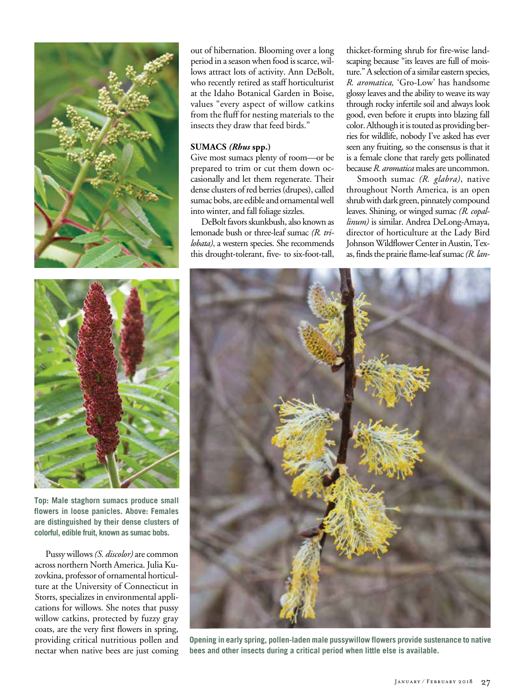

**Top: Male staghorn sumacs produce small flowers in loose panicles. Above: Females are distinguished by their dense clusters of colorful, edible fruit, known as sumac bobs.**

Pussy willows *(S. discolor)* are common across northern North America. Julia Kuzovkina, professor of ornamental horticulture at the University of Connecticut in Storrs, specializes in environmental applications for willows. She notes that pussy willow catkins, protected by fuzzy gray coats, are the very first flowers in spring, providing critical nutritious pollen and nectar when native bees are just coming out of hibernation. Blooming over a long period in a season when food is scarce, willows attract lots of activity. Ann DeBolt, who recently retired as staff horticulturist at the Idaho Botanical Garden in Boise, values "every aspect of willow catkins from the fluff for nesting materials to the insects they draw that feed birds."

#### **Sumacs** *(Rhus* **spp.)**

Give most sumacs plenty of room—or be prepared to trim or cut them down occasionally and let them regenerate. Their dense clusters of red berries (drupes), called sumac bobs, are edible and ornamental well into winter, and fall foliage sizzles.

DeBolt favors skunkbush, also known as lemonade bush or three-leaf sumac *(R. trilobata)*, a western species. She recommends this drought-tolerant, five- to six-foot-tall,

thicket-forming shrub for fire-wise landscaping because "its leaves are full of moisture." A selection of a similar eastern species, *R. aromatica,* 'Gro-Low' has handsome glossy leaves and the ability to weave its way through rocky infertile soil and always look good, even before it erupts into blazing fall color. Although it is touted as providing berries for wildlife, nobody I've asked has ever seen any fruiting, so the consensus is that it is a female clone that rarely gets pollinated because *R. aromatica* males are uncommon.

Smooth sumac *(R. glabra)*, native throughout North America, is an open shrub with dark green, pinnately compound leaves. Shining, or winged sumac *(R. copallinum)* is similar. Andrea DeLong-Amaya, director of horticulture at the Lady Bird Johnson Wildflower Center in Austin, Texas, finds the prairie flame-leaf sumac *(R. lan-*



**Opening in early spring, pollen-laden male pussywillow flowers provide sustenance to native bees and other insects during a critical period when little else is available.**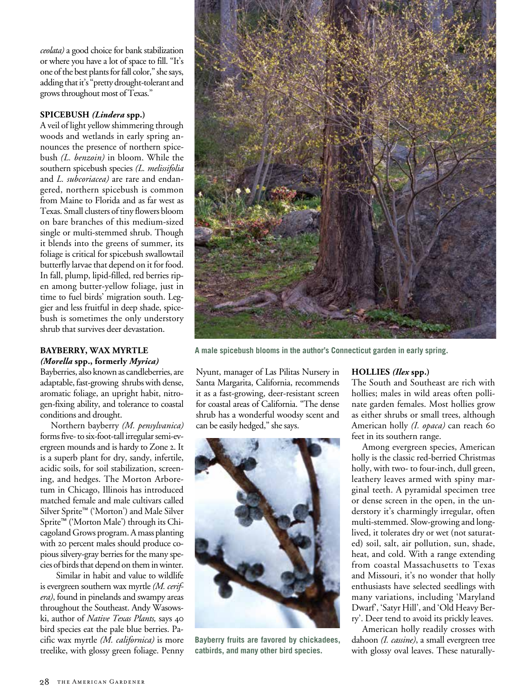*ceolata)* a good choice for bank stabilization or where you have a lot of space to fill. "It's one of the best plants for fall color," she says, adding that it's "pretty drought-tolerant and grows throughout most of Texas."

#### **Spicebush** *(Lindera* **spp.)**

A veil of light yellow shimmering through woods and wetlands in early spring announces the presence of northern spicebush *(L. benzoin)* in bloom. While the southern spicebush species *(L. melissifolia* and *L. subcoriacea)* are rare and endangered, northern spicebush is common from Maine to Florida and as far west as Texas. Small clusters of tiny flowers bloom on bare branches of this medium-sized single or multi-stemmed shrub. Though it blends into the greens of summer, its foliage is critical for spicebush swallowtail butterfly larvae that depend on it for food. In fall, plump, lipid-filled, red berries ripen among butter-yellow foliage, just in time to fuel birds' migration south. Leggier and less fruitful in deep shade, spicebush is sometimes the only understory shrub that survives deer devastation.

#### **Bayberry, Wax Myrtle**  *(Morella* **spp., formerly** *Myrica)*

Bayberries, also known as candleberries, are adaptable, fast-growing shrubs with dense, aromatic foliage, an upright habit, nitro-

gen-fixing ability, and tolerance to coastal

conditions and drought. Northern bayberry *(M. pensylvanica)* forms five- to six-foot-tall irregular semi-evergreen mounds and is hardy to Zone 2. It is a superb plant for dry, sandy, infertile, acidic soils, for soil stabilization, screening, and hedges. The Morton Arboretum in Chicago, Illinois has introduced matched female and male cultivars called Silver Sprite™ ('Morton') and Male Silver Sprite™ ('Morton Male') through its Chicagoland Grows program. A mass planting with 20 percent males should produce copious silvery-gray berries for the many species of birds that depend on them in winter.

 Similar in habit and value to wildlife is evergreen southern wax myrtle *(M. cerifera)*, found in pinelands and swampy areas throughout the Southeast. Andy Wasowski, author of *Native Texas Plants,* says 40 bird species eat the pale blue berries. Pacific wax myrtle *(M. californica)* is more treelike, with glossy green foliage. Penny



**A male spicebush blooms in the author's Connecticut garden in early spring.**

Nyunt, manager of Las Pilitas Nursery in Santa Margarita, California, recommends it as a fast-growing, deer-resistant screen for coastal areas of California. "The dense shrub has a wonderful woodsy scent and can be easily hedged," she says.



**Bayberry fruits are favored by chickadees, catbirds, and many other bird species.**

#### **Hollies** *(Ilex* **spp.)**

The South and Southeast are rich with hollies; males in wild areas often pollinate garden females. Most hollies grow as either shrubs or small trees, although American holly *(I. opaca)* can reach 60 feet in its southern range.

Among evergreen species, American holly is the classic red-berried Christmas holly, with two- to four-inch, dull green, leathery leaves armed with spiny marginal teeth. A pyramidal specimen tree or dense screen in the open, in the understory it's charmingly irregular, often multi-stemmed. Slow-growing and longlived, it tolerates dry or wet (not saturated) soil, salt, air pollution, sun, shade, heat, and cold. With a range extending from coastal Massachusetts to Texas and Missouri, it's no wonder that holly enthusiasts have selected seedlings with many variations, including 'Maryland Dwarf', 'Satyr Hill', and 'Old Heavy Berry'. Deer tend to avoid its prickly leaves.

American holly readily crosses with dahoon *(I. cassine)*, a small evergreen tree with glossy oval leaves. These naturally-